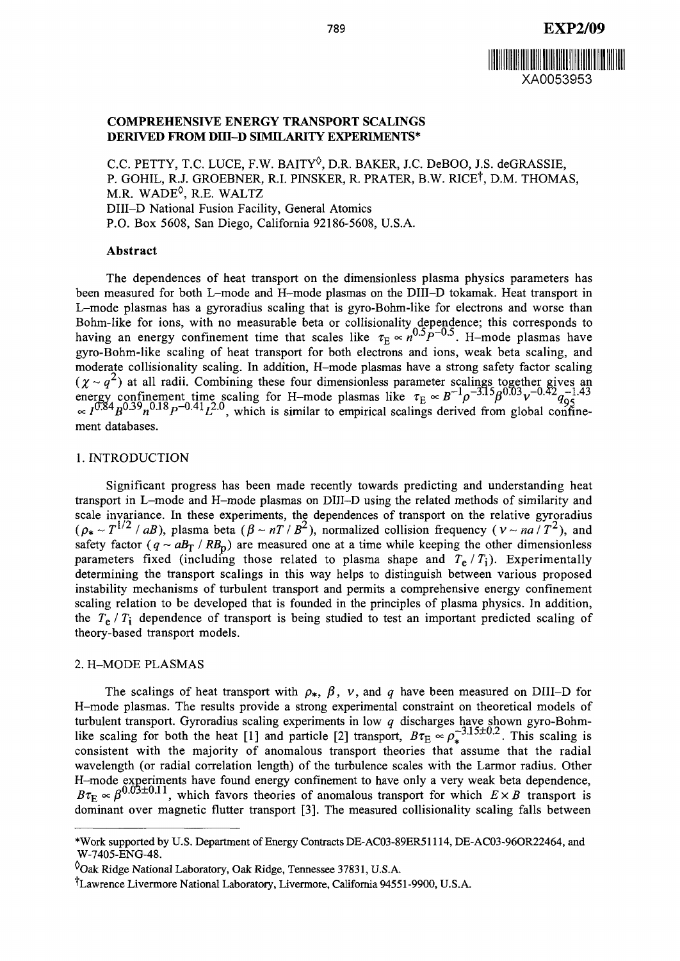

# **COMPREHENSIVE ENERGY TRANSPORT SCALINGS DERIVED FROM Dffl-D SIMILARITY EXPERIMENTS\***

C.C. PETTY, T.C. LUCE, F.W. BAITY $^\lozenge$ , D.R. BAKER, J.C. DeBOO, J.S. deGRASSIE, P. GOHIL, R.J. GROEBNER, R.I. PINSKER, R. PRATER, B.W. RICE<sup>†</sup>, D.M. THOMAS, M.R. WADE $\lozenge$ , R.E. WALTZ DIII-D National Fusion Facility, General Atomics P.O. Box 5608, San Diego, California 92186-5608, U.S.A.

#### **Abstract**

The dependences of heat transport on the dimensionless plasma physics parameters has been measured for both L-mode and H-mode plasmas on the DIII-D tokamak. Heat transport in L-mode plasmas has a gyroradius scaling that is gyro-Bohm-like for electrons and worse than Bohm-like for ions, with no measurable beta or collisionality dependence; this corresponds to having an energy confinement time that scales like  $\tau_{\rm E} \propto n^{\rm O} P^{-0.5}$ . H-mode plasmas have gyro-Bohm-like scaling of heat transport for both electrons and ions, weak beta scaling, and moderate collisionality scaling. In addition, H-mode plasmas have a strong safety factor scaling  $(\chi \sim q^2)$  at all radii. Combining these four dimensionless parameter scalings together gives an energy confinement time scaling for H-mode plasmas like  $\tau_E \propto B^{-1} \rho^{-3.15} \beta^{0.03} v^{-0.42} q_{95}^{-1.43}$  $\frac{0.84}{}_{B}$  $\frac{0.35}{}_{R}$  $\frac{0.18}{}_{R}$  $\frac{0.41}{}_{L}$  $\frac{12.0}{}_{S}$ , which is similar to empirical scalings derived from global confi ment databases.

### 1. INTRODUCTION

Significant progress has been made recently towards predicting and understanding heat transport in L-mode and H-mode plasmas on DIII-D using the related methods of similarity and scale invariance. In these experiments, the dependences of transport on the relative gyroradius  $(\rho_* \sim T^{1/2}/aB)$ , plasma beta  $(\beta \sim nT/B^2)$ , normalized collision frequency ( $v \sim na/T^2$ ), and safety factor  $(q \sim aB_T / RB_p)$  are measured one at a time while keeping the other dimensionless parameters fixed (including those related to plasma shape and  $T_e/T_i$ ). Experimentally determining the transport scalings in this way helps to distinguish between various proposed instability mechanisms of turbulent transport and permits a comprehensive energy confinement scaling relation to be developed that is founded in the principles of plasma physics. In addition, the  $T_e / T_i$  dependence of transport is being studied to test an important predicted scaling of theory-based transport models.

### 2. H-MODE PLASMAS

The scalings of heat transport with  $\rho_*$ ,  $\beta$ ,  $\nu$ , and  $q$  have been measured on DIII-D for H-mode plasmas. The results provide a strong experimental constraint on theoretical models of turbulent transport. Gyroradius scaling experiments in low *q* discharges have shown gyro-Bohmlike scaling for both the heat [1] and particle [2] transport,  $B\tau_E \propto \rho_*^{-3.15\pm0.2}$ . This scaling is consistent with the majority of anomalous transport theories that assume that the radial wavelength (or radial correlation length) of the turbulence scales with the Larmor radius. Other H-mode experiments have found energy confinement to have only a very weak beta dependence,  $B\tau_{\rm E} \propto \beta^{0.03 \pm 0.11}$ , which favors theories of anomalous transport for which  $E \times B$  transport is dominant over magnetic flutter transport [3]. The measured collisionality scaling falls between

<sup>\*</sup>Work supported by U.S. Department of Energy Contracts DE-AC03-89ER51114, DE-AC03-96OR22464, and W-7405-ENG-48.

 $^{0}$ Oak Ridge National Laboratory, Oak Ridge, Tennessee 37831, U.S.A.

f Lawrence Livermore National Laboratory, Livermore, California 94551-9900, U.S.A.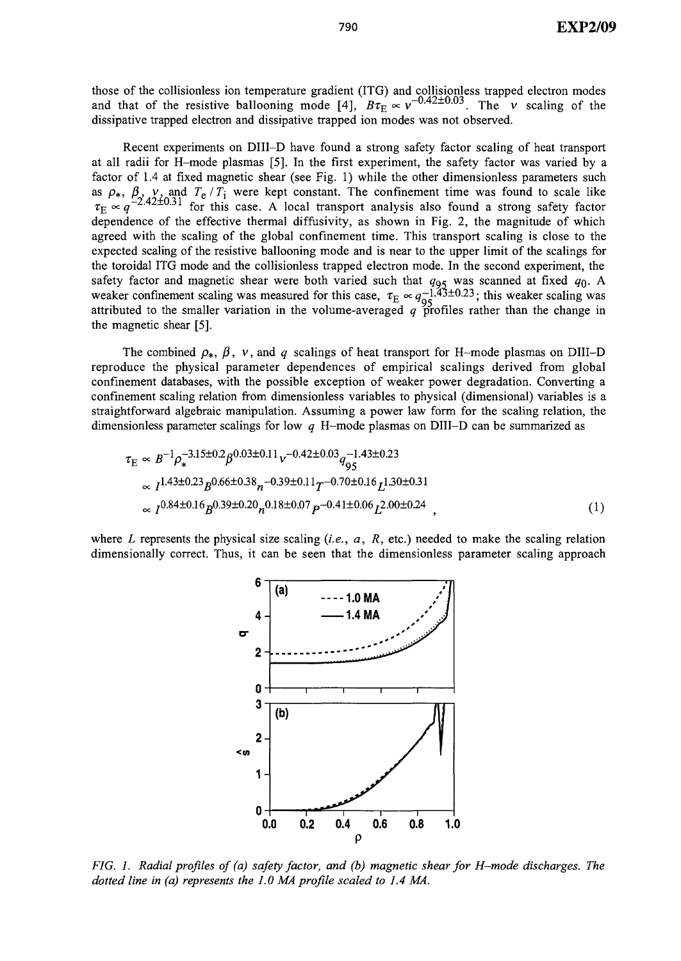those of the collisionless ion temperature gradient (ITG) and collisionless trapped electron modes and that of the resistive ballooning mode [4],  $B\tau_E \propto v^{-0.42 \pm 0.03}$ . The *v* scaling of the dissipative trapped electron and dissipative trapped ion modes was not observed.

Recent experiments on DIII-D have found a strong safety factor scaling of heat transport at all radii for H-mode plasmas [5]. In the first experiment, the safety factor was varied by a factor of 1.4 at fixed magnetic shear (see Fig. 1) while the other dimensionless parameters such as  $\rho_*$ ,  $\beta_s$ ,  $\nu_s$  and  $T_e/T_i$  were kept constant. The confinement time was found to scale like  $\tau_{\rm E} \propto q^{-2.42 \pm 0.31}$  for this case. A local transport analysis also found a strong safety factor dependence of the effective thermal diffusivity, as shown in Fig. 2, the magnitude of which agreed with the scaling of the global confinement time. This transport scaling is close to the expected scaling of the resistive ballooning mode and is near to the upper limit of the scalings for the toroidal ITG mode and the collisionless trapped electron mode. In the second experiment, the safety factor and magnetic shear were both varied such that  $q_{05}$  was scanned at fixed  $q_0$ . A weaker confinement scaling was measured for this case,  $\tau_{\rm E} \propto q_{\rm OS}^{-1.43\pm0.23}$ ; this weaker scaling was attributed to the smaller variation in the volume-averaged  $q$  profiles rather than the change in the magnetic shear [5].

The combined  $\rho_{*}$ ,  $\beta$ ,  $v$ , and  $q$  scalings of heat transport for H-mode plasmas on DIII-D reproduce the physical parameter dependences of empirical scalings derived from global confinement databases, with the possible exception of weaker power degradation. Converting a confinement scaling relation from dimensionless variables to physical (dimensional) variables is a straightforward algebraic manipulation. Assuming a power law form for the scaling relation, the dimensionless parameter scalings for low *q* H-mode plasmas on DIII-D can be summarized as

$$
\tau_{\rm E} \propto B^{-1} \rho_*^{-3.15 \pm 0.2} \beta^{0.03 \pm 0.11} \nu^{-0.42 \pm 0.03} q_{95}^{-1.43 \pm 0.23}
$$
\n
$$
\propto I^{1.43 \pm 0.23} B^{0.66 \pm 0.38} n^{-0.39 \pm 0.11} T^{-0.70 \pm 0.16} L^{1.30 \pm 0.31}
$$
\n
$$
\propto I^{0.84 \pm 0.16} B^{0.39 \pm 0.20} n^{0.18 \pm 0.07} P^{-0.41 \pm 0.06} L^{2.00 \pm 0.24} ,
$$
\n(1)

where *L* represents the physical size scaling *(i.e., a, R,* etc.) needed to make the scaling relation dimensionally correct. Thus, it can be seen that the dimensionless parameter scaling approach



*FIG. 1. Radial profiles of (a) safety factor, and (b) magnetic shear for H-mode discharges. The dotted line in (a) represents the 1.0 MA profile scaled to 1.4 MA.*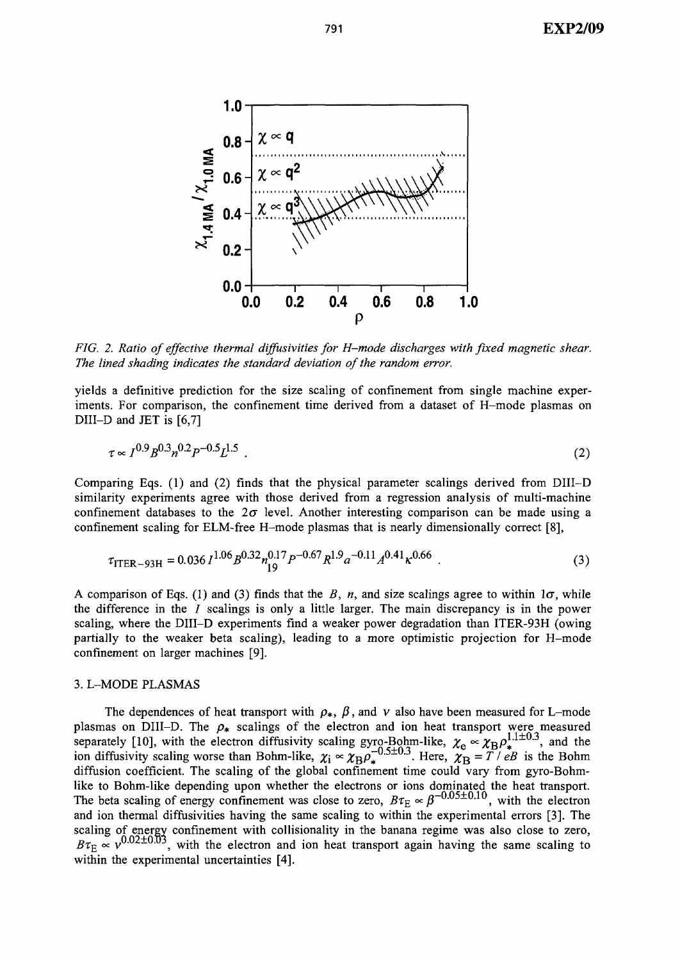

*FIG. 2. Ratio of effective thermal diffusivities for H-mode discharges with fixed magnetic shear. The lined shading indicates the standard deviation of the random error.*

yields a definitive prediction for the size scaling of confinement from single machine experiments. For comparison, the confinement time derived from a dataset of H-mode plasmas on DIII-D and JET is [6,7]

$$
\tau \propto I^{0.9} B^{0.3} n^{0.2} P^{-0.5} L^{1.5} \tag{2}
$$

Comparing Eqs. (1) and (2) finds that the physical parameter scalings derived from DIII-D similarity experiments agree with those derived from a regression analysis of multi-machine confinement databases to the  $2\sigma$  level. Another interesting comparison can be made using a confinement scaling for ELM-free H-mode plasmas that is nearly dimensionally correct [8],

$$
\tau_{\text{ITER-93H}} = 0.036 I^{1.06} B^{0.32} n_{19}^{0.17} P^{-0.67} R^{1.9} a^{-0.11} A^{0.41} \kappa^{0.66} \tag{3}
$$

A comparison of Eqs. (1) and (3) finds that the *B*, *n*, and size scalings agree to within  $1\sigma$ , while the difference in the  $I$  scalings is only a little larger. The main discrepancy is in the power scaling, where the DIII-D experiments find a weaker power degradation than ITER-93H (owing partially to the weaker beta scaling), leading to a more optimistic projection for H-mode confinement on larger machines [9].

# 3. L-MODE PLASMAS

The dependences of heat transport with  $\rho_{*}$ ,  $\beta$ , and v also have been measured for L-mode plasmas on DIII-D. The  $\rho_*$  scalings of the electron and ion heat transport were measured separately [10], with the electron diffusivity scaling gyro-Bohm-like,  $\chi_e \propto \chi_B \rho_{\star}^{1.1\pm0.3}$ , and the ion diffusivity scaling worse than Bohm-like,  $\chi_i \propto \chi_B \rho_e^{-0.5\pm0.3}$ . Here,  $\chi_B = T / eB$  is the Bohm diffusion coefficient. The scaling of the global confinement time could vary from gyro-Bohmlike to Bohm-like depending upon whether the electrons or ions dominated the heat transport. The beta scaling of energy confinement was close to zero,  $B\tau_E \propto \beta^{-0.03 \pm 0.19}$ , with the electron and ion thermal diffusivities having the same scaling to within the experimental errors [3]. The scaling of energy confinement with collisionality in the banana regime was also close to zero,<br> $B\tau_E \propto v^{0.02 \pm 0.03}$ , with the electron and ion heat transport again having the same scaling to within the experimental uncertainties [4].